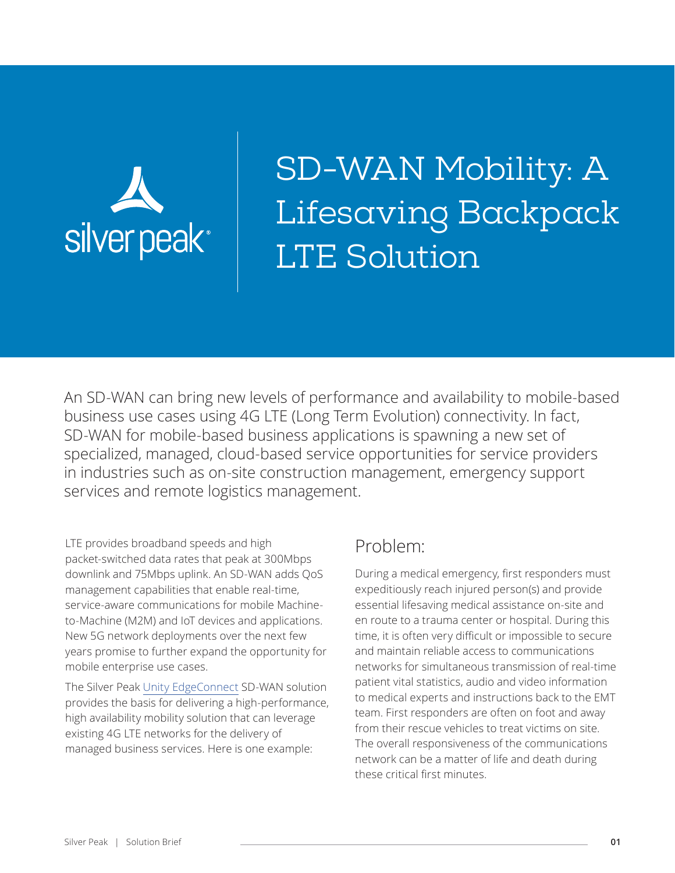

SD-WAN Mobility: A Lifesaving Backpack LTE Solution

An SD-WAN can bring new levels of performance and availability to mobile-based business use cases using 4G LTE (Long Term Evolution) connectivity. In fact, SD-WAN for mobile-based business applications is spawning a new set of specialized, managed, cloud-based service opportunities for service providers in industries such as on-site construction management, emergency support services and remote logistics management.

LTE provides broadband speeds and high packet-switched data rates that peak at 300Mbps downlink and 75Mbps uplink. An SD-WAN adds QoS management capabilities that enable real-time, service-aware communications for mobile Machineto-Machine (M2M) and IoT devices and applications. New 5G network deployments over the next few years promise to further expand the opportunity for mobile enterprise use cases.

The Silver Peak [Unity EdgeConnect](https://www.silver-peak.com/products/unity-edge-connect) SD-WAN solution provides the basis for delivering a high-performance, high availability mobility solution that can leverage existing 4G LTE networks for the delivery of managed business services. Here is one example:

### Problem:

During a medical emergency, first responders must expeditiously reach injured person(s) and provide essential lifesaving medical assistance on-site and en route to a trauma center or hospital. During this time, it is often very difficult or impossible to secure and maintain reliable access to communications networks for simultaneous transmission of real-time patient vital statistics, audio and video information to medical experts and instructions back to the EMT team. First responders are often on foot and away from their rescue vehicles to treat victims on site. The overall responsiveness of the communications network can be a matter of life and death during these critical first minutes.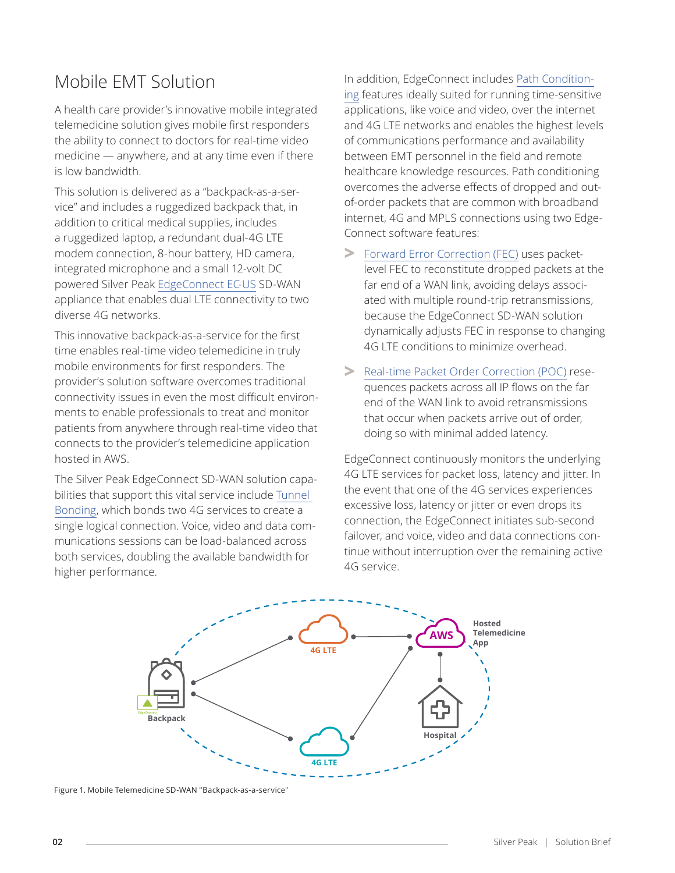# Mobile EMT Solution

A health care provider's innovative mobile integrated telemedicine solution gives mobile first responders the ability to connect to doctors for real-time video medicine — anywhere, and at any time even if there is low bandwidth.

This solution is delivered as a "backpack-as-a-service" and includes a ruggedized backpack that, in addition to critical medical supplies, includes a ruggedized laptop, a redundant dual-4G LTE modem connection, 8-hour battery, HD camera, integrated microphone and a small 12-volt DC powered Silver Peak [EdgeConnect EC-US](https://www.silver-peak.com/resource-center/edgeconnect-us-ec-us-specification-sheet) SD-WAN appliance that enables dual LTE connectivity to two diverse 4G networks.

This innovative backpack-as-a-service for the first time enables real-time video telemedicine in truly mobile environments for first responders. The provider's solution software overcomes traditional connectivity issues in even the most difficult environments to enable professionals to treat and monitor patients from anywhere through real-time video that connects to the provider's telemedicine application hosted in AWS.

The Silver Peak EdgeConnect SD-WAN solution capabilities that support this vital service include [Tunnel](https://www.silver-peak.com/taxonomy/term/57/all)  [Bonding,](https://www.silver-peak.com/taxonomy/term/57/all) which bonds two 4G services to create a single logical connection. Voice, video and data communications sessions can be load-balanced across both services, doubling the available bandwidth for higher performance.

In addition, EdgeConnect includes [Path Condition](https://www.silver-peak.com/products/unity-edge-connect/path-conditioning)[ing](https://www.silver-peak.com/products/unity-edge-connect/path-conditioning) features ideally suited for running time-sensitive applications, like voice and video, over the internet and 4G LTE networks and enables the highest levels of communications performance and availability between EMT personnel in the field and remote healthcare knowledge resources. Path conditioning overcomes the adverse effects of dropped and outof-order packets that are common with broadband internet, 4G and MPLS connections using two Edge-Connect software features:

- **>** [Forward Error Correction \(FEC\)](https://www.silver-peak.com/products/unity-edge-connect/path-conditioning) uses packetlevel FEC to reconstitute dropped packets at the far end of a WAN link, avoiding delays associated with multiple round-trip retransmissions, because the EdgeConnect SD-WAN solution dynamically adjusts FEC in response to changing 4G LTE conditions to minimize overhead.
- **>** [Real-time Packet Order Correction \(POC\)](https://www.silver-peak.com/products/unity-edge-connect/path-conditioning) resequences packets across all IP flows on the far end of the WAN link to avoid retransmissions that occur when packets arrive out of order, doing so with minimal added latency.

EdgeConnect continuously monitors the underlying 4G LTE services for packet loss, latency and jitter. In the event that one of the 4G services experiences excessive loss, latency or jitter or even drops its connection, the EdgeConnect initiates sub-second failover, and voice, video and data connections continue without interruption over the remaining active 4G service.



Figure 1. Mobile Telemedicine SD-WAN "Backpack-as-a-service"